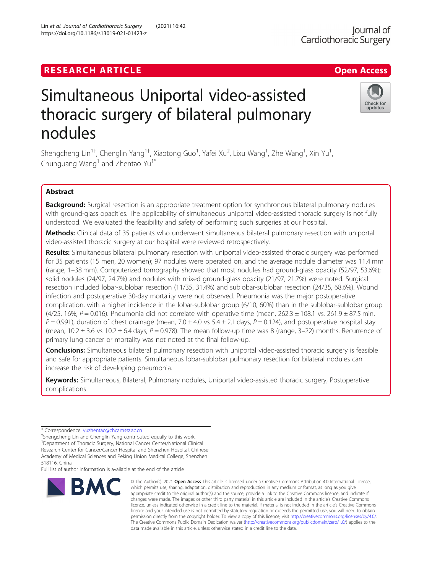# **RESEARCH ARTICLE Example 2018 12:00 Department of the CONNECTION CONNECTION CONNECTION CONNECTION**

# Simultaneous Uniportal video-assisted thoracic surgery of bilateral pulmonary nodules

Shengcheng Lin<sup>1†</sup>, Chenglin Yang<sup>1†</sup>, Xiaotong Guo<sup>1</sup>, Yafei Xu<sup>2</sup>, Lixu Wang<sup>1</sup>, Zhe Wang<sup>1</sup>, Xin Yu<sup>1</sup> , Chunguang Wang<sup>1</sup> and Zhentao Yu<sup>1\*</sup>

# Abstract

Background: Surgical resection is an appropriate treatment option for synchronous bilateral pulmonary nodules with ground-glass opacities. The applicability of simultaneous uniportal video-assisted thoracic surgery is not fully understood. We evaluated the feasibility and safety of performing such surgeries at our hospital.

Methods: Clinical data of 35 patients who underwent simultaneous bilateral pulmonary resection with uniportal video-assisted thoracic surgery at our hospital were reviewed retrospectively.

Results: Simultaneous bilateral pulmonary resection with uniportal video-assisted thoracic surgery was performed for 35 patients (15 men, 20 women); 97 nodules were operated on, and the average nodule diameter was 11.4 mm (range, 1–38 mm). Computerized tomography showed that most nodules had ground-glass opacity (52/97, 53.6%); solid nodules (24/97, 24.7%) and nodules with mixed ground-glass opacity (21/97, 21.7%) were noted. Surgical resection included lobar-sublobar resection (11/35, 31.4%) and sublobar-sublobar resection (24/35, 68.6%). Wound infection and postoperative 30-day mortality were not observed. Pneumonia was the major postoperative complication, with a higher incidence in the lobar-sublobar group (6/10, 60%) than in the sublobar-sublobar group (4/25, 16%;  $P = 0.016$ ). Pneumonia did not correlate with operative time (mean, 262.3  $\pm$  108.1 vs. 261.9  $\pm$  87.5 min,  $P = 0.991$ ), duration of chest drainage (mean, 7.0  $\pm$  4.0 vs 5.4  $\pm$  2.1 days,  $P = 0.124$ ), and postoperative hospital stay (mean,  $10.2 \pm 3.6$  vs  $10.2 \pm 6.4$  days,  $P = 0.978$ ). The mean follow-up time was 8 (range, 3–22) months. Recurrence of primary lung cancer or mortality was not noted at the final follow-up.

**Conclusions:** Simultaneous bilateral pulmonary resection with uniportal video-assisted thoracic surgery is feasible and safe for appropriate patients. Simultaneous lobar-sublobar pulmonary resection for bilateral nodules can increase the risk of developing pneumonia.

Keywords: Simultaneous, Bilateral, Pulmonary nodules, Uniportal video-assisted thoracic surgery, Postoperative complications

**BMC** 

<sup>+</sup>Shengcheng Lin and Chenglin Yang contributed equally to this work. <sup>1</sup>Department of Thoracic Surgery, National Cancer Center/National Clinical Research Center for Cancer/Cancer Hospital and Shenzhen Hospital, Chinese

Academy of Medical Sciences and Peking Union Medical College, Shenzhen 518116, China

Full list of author information is available at the end of the article

© The Author(s), 2021 **Open Access** This article is licensed under a Creative Commons Attribution 4.0 International License, which permits use, sharing, adaptation, distribution and reproduction in any medium or format, as long as you give appropriate credit to the original author(s) and the source, provide a link to the Creative Commons licence, and indicate if changes were made. The images or other third party material in this article are included in the article's Creative Commons licence, unless indicated otherwise in a credit line to the material. If material is not included in the article's Creative Commons licence and your intended use is not permitted by statutory regulation or exceeds the permitted use, you will need to obtain permission directly from the copyright holder. To view a copy of this licence, visit [http://creativecommons.org/licenses/by/4.0/.](http://creativecommons.org/licenses/by/4.0/) The Creative Commons Public Domain Dedication waiver [\(http://creativecommons.org/publicdomain/zero/1.0/](http://creativecommons.org/publicdomain/zero/1.0/)) applies to the data made available in this article, unless otherwise stated in a credit line to the data.

Lin et al. Journal of Cardiothoracic Surgery (2021) 16:42 https://doi.org/10.1186/s13019-021-01423-z





<sup>\*</sup> Correspondence: [yuzhentao@chcamssz.ac.cn](mailto:yuzhentao@chcamssz.ac.cn) †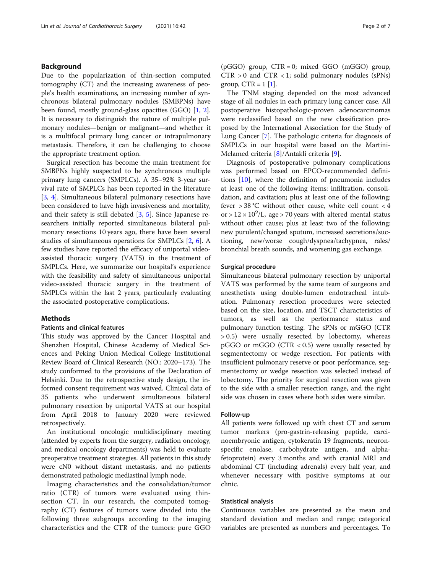#### Background

Due to the popularization of thin-section computed tomography (CT) and the increasing awareness of people's health examinations, an increasing number of synchronous bilateral pulmonary nodules (SMBPNs) have been found, mostly ground-glass opacities (GGO) [[1,](#page-5-0) [2](#page-5-0)]. It is necessary to distinguish the nature of multiple pulmonary nodules—benign or malignant—and whether it is a multifocal primary lung cancer or intrapulmonary metastasis. Therefore, it can be challenging to choose the appropriate treatment option.

Surgical resection has become the main treatment for SMBPNs highly suspected to be synchronous multiple primary lung cancers (SMPLCs). A 35–92% 3-year survival rate of SMPLCs has been reported in the literature [[3,](#page-5-0) [4](#page-5-0)]. Simultaneous bilateral pulmonary resections have been considered to have high invasiveness and mortality, and their safety is still debated [[3,](#page-5-0) [5](#page-5-0)]. Since Japanese researchers initially reported simultaneous bilateral pulmonary resections 10 years ago, there have been several studies of simultaneous operations for SMPLCs [[2,](#page-5-0) [6](#page-5-0)]. A few studies have reported the efficacy of uniportal videoassisted thoracic surgery (VATS) in the treatment of SMPLCs. Here, we summarize our hospital's experience with the feasibility and safety of simultaneous uniportal video-assisted thoracic surgery in the treatment of SMPLCs within the last 2 years, particularly evaluating the associated postoperative complications.

#### Methods

#### Patients and clinical features

This study was approved by the Cancer Hospital and Shenzhen Hospital, Chinese Academy of Medical Sciences and Peking Union Medical College Institutional Review Board of Clinical Research (NO.: 2020–173). The study conformed to the provisions of the Declaration of Helsinki. Due to the retrospective study design, the informed consent requirement was waived. Clinical data of 35 patients who underwent simultaneous bilateral pulmonary resection by uniportal VATS at our hospital from April 2018 to January 2020 were reviewed retrospectively.

An institutional oncologic multidisciplinary meeting (attended by experts from the surgery, radiation oncology, and medical oncology departments) was held to evaluate preoperative treatment strategies. All patients in this study were cN0 without distant metastasis, and no patients demonstrated pathologic mediastinal lymph node.

Imaging characteristics and the consolidation/tumor ratio (CTR) of tumors were evaluated using thinsection CT. In our research, the computed tomography (CT) features of tumors were divided into the following three subgroups according to the imaging characteristics and the CTR of the tumors: pure GGO (pGGO) group, CTR = 0; mixed GGO (mGGO) group,  $CTR > 0$  and  $CTR < 1$ ; solid pulmonary nodules (sPNs) group,  $CTR = 1$  [\[1\]](#page-5-0).

The TNM staging depended on the most advanced stage of all nodules in each primary lung cancer case. All postoperative histopathologic-proven adenocarcinomas were reclassified based on the new classification proposed by the International Association for the Study of Lung Cancer [\[7](#page-5-0)]. The pathologic criteria for diagnosis of SMPLCs in our hospital were based on the Martini-Melamed criteria [[8\]](#page-5-0)/Antakli criteria [\[9](#page-5-0)].

Diagnosis of postoperative pulmonary complications was performed based on EPCO-recommended definitions [\[10](#page-5-0)], where the definition of pneumonia includes at least one of the following items: infiltration, consolidation, and cavitation; plus at least one of the following: fever  $> 38$  °C without other cause, white cell count  $< 4$ or >  $12 \times 10^9$ /L, age > 70 years with altered mental status without other cause; plus at least two of the following: new purulent/changed sputum, increased secretions/suctioning, new/worse cough/dyspnea/tachypnea, rales/ bronchial breath sounds, and worsening gas exchange.

#### Surgical procedure

Simultaneous bilateral pulmonary resection by uniportal VATS was performed by the same team of surgeons and anesthetists using double-lumen endotracheal intubation. Pulmonary resection procedures were selected based on the size, location, and TSCT characteristics of tumors, as well as the performance status and pulmonary function testing. The sPNs or mGGO (CTR > 0.5) were usually resected by lobectomy, whereas  $pGGO$  or mGGO (CTR  $<0.5$ ) were usually resected by segmentectomy or wedge resection. For patients with insufficient pulmonary reserve or poor performance, segmentectomy or wedge resection was selected instead of lobectomy. The priority for surgical resection was given to the side with a smaller resection range, and the right side was chosen in cases where both sides were similar.

#### Follow-up

All patients were followed up with chest CT and serum tumor markers (pro-gastrin-releasing peptide, carcinoembryonic antigen, cytokeratin 19 fragments, neuronspecific enolase, carbohydrate antigen, and alphafetoprotein) every 3 months and with cranial MRI and abdominal CT (including adrenals) every half year, and whenever necessary with positive symptoms at our clinic.

#### Statistical analysis

Continuous variables are presented as the mean and standard deviation and median and range; categorical variables are presented as numbers and percentages. To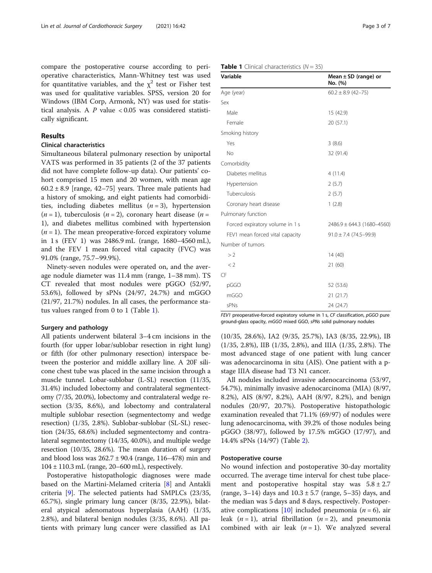compare the postoperative course according to perioperative characteristics, Mann-Whitney test was used for quantitative variables, and the  $\chi^2$  test or Fisher test was used for qualitative variables. SPSS, version 20 for Windows (IBM Corp, Armonk, NY) was used for statistical analysis. A  $P$  value  $< 0.05$  was considered statistically significant.

### Results

## Clinical characteristics

Simultaneous bilateral pulmonary resection by uniportal VATS was performed in 35 patients (2 of the 37 patients did not have complete follow-up data). Our patients' cohort comprised 15 men and 20 women, with mean age  $60.2 \pm 8.9$  [range, 42–75] years. Three male patients had a history of smoking, and eight patients had comorbidities, including diabetes mellitus  $(n = 3)$ , hypertension  $(n = 1)$ , tuberculosis  $(n = 2)$ , coronary heart disease  $(n = 1)$ 1), and diabetes mellitus combined with hypertension  $(n = 1)$ . The mean preoperative-forced expiratory volume in 1 s (FEV 1) was 2486.9 mL (range, 1680–4560 mL), and the FEV 1 mean forced vital capacity (FVC) was 91.0% (range, 75.7–99.9%).

Ninety-seven nodules were operated on, and the average nodule diameter was 11.4 mm (range, 1–38 mm). TS CT revealed that most nodules were pGGO (52/97, 53.6%), followed by sPNs (24/97, 24.7%) and mGGO (21/97, 21.7%) nodules. In all cases, the performance status values ranged from 0 to 1 (Table 1).

#### Surgery and pathology

All patients underwent bilateral 3–4 cm incisions in the fourth (for upper lobar/sublobar resection in right lung) or fifth (for other pulmonary resection) interspace between the posterior and middle axillary line. A 20F silicone chest tube was placed in the same incision through a muscle tunnel. Lobar-sublobar (L-SL) resection (11/35, 31.4%) included lobectomy and contralateral segmentectomy (7/35, 20.0%), lobectomy and contralateral wedge resection (3/35, 8.6%), and lobectomy and contralateral multiple sublobar resection (segmentectomy and wedge resection) (1/35, 2.8%). Sublobar-sublobar (SL-SL) resection (24/35, 68.6%) included segmentectomy and contralateral segmentectomy (14/35, 40.0%), and multiple wedge resection (10/35, 28.6%). The mean duration of surgery and blood loss was  $262.7 \pm 90.4$  (range, 116–478) min and  $104 \pm 110.3$  mL (range, 20–600 mL), respectively.

Postoperative histopathologic diagnoses were made based on the Martini-Melamed criteria [[8\]](#page-5-0) and Antakli criteria [\[9](#page-5-0)]. The selected patients had SMPLCs (23/35, 65.7%), single primary lung cancer (8/35, 22.9%), bilateral atypical adenomatous hyperplasia (AAH) (1/35, 2.8%), and bilateral benign nodules (3/35, 8.6%). All patients with primary lung cancer were classified as IA1

| Age (year)                      | $60.2 \pm 8.9$ (42-75)         |  |  |
|---------------------------------|--------------------------------|--|--|
| Sex                             |                                |  |  |
| Male                            | 15 (42.9)                      |  |  |
| Female                          | 20 (57.1)                      |  |  |
| Smoking history                 |                                |  |  |
| Yes                             | 3(8.6)                         |  |  |
| No                              | 32 (91.4)                      |  |  |
| Comorbidity                     |                                |  |  |
| Diabetes mellitus               | 4(11.4)                        |  |  |
| Hypertension                    | 2(5.7)                         |  |  |
| Tuberculosis                    | 2(5.7)                         |  |  |
| Coronary heart disease          | 1(2.8)                         |  |  |
| Pulmonary function              |                                |  |  |
| Forced expiratory volume in 1 s | $2486.9 \pm 644.3$ (1680-4560) |  |  |
| FEV1 mean forced vital capacity | $91.0 \pm 7.4$ (74.5-99.9)     |  |  |
| Number of tumors                |                                |  |  |
| >2                              | 14 (40)                        |  |  |
| < 2                             | 21(60)                         |  |  |
| CF                              |                                |  |  |
| pGGO                            | 52 (53.6)                      |  |  |
| mGGO                            | 21(21.7)                       |  |  |

FEV1 preoperative-forced expiratory volume in 1 s, CF classification, pGGO pure ground-glass opacity, mGGO mixed GGO, sPNs solid pulmonary nodules

sPNs 24 (24.7)

(10/35, 28.6%), IA2 (9/35, 25.7%), IA3 (8/35, 22.9%), IB (1/35, 2.8%), IIB (1/35, 2.8%), and IIIA (1/35, 2.8%). The most advanced stage of one patient with lung cancer was adenocarcinoma in situ (AIS). One patient with a pstage IIIA disease had T3 N1 cancer.

All nodules included invasive adenocarcinoma (53/97, 54.7%), minimally invasive adenocarcinoma (MIA) (8/97, 8.2%), AIS (8/97, 8.2%), AAH (8/97, 8.2%), and benign nodules (20/97, 20.7%). Postoperative histopathologic examination revealed that 71.1% (69/97) of nodules were lung adenocarcinoma, with 39.2% of those nodules being pGGO (38/97), followed by 17.5% mGGO (17/97), and 14.4% sPNs (14/97) (Table [2](#page-3-0)).

#### Postoperative course

No wound infection and postoperative 30-day mortality occurred. The average time interval for chest tube placement and postoperative hospital stay was  $5.8 \pm 2.7$ (range, 3–14) days and  $10.3 \pm 5.7$  (range, 5–35) days, and the median was 5 days and 8 days, respectively. Postoper-ative complications [[10\]](#page-5-0) included pneumonia ( $n = 6$ ), air leak  $(n = 1)$ , atrial fibrillation  $(n = 2)$ , and pneumonia combined with air leak  $(n = 1)$ . We analyzed several

#### **Table 1** Clinical characteristics  $(N = 35)$

Variable Mean ± SD (range) or

No. (%)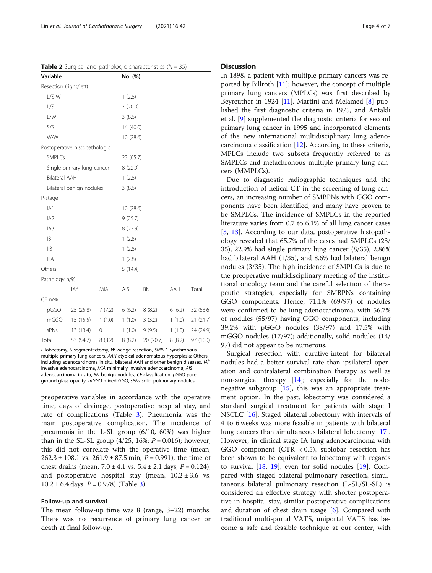<span id="page-3-0"></span>**Table 2** Surgical and pathologic characteristics ( $N = 35$ )

| Variable                   |                               |           | No. (%)   |           |        |           |  |  |
|----------------------------|-------------------------------|-----------|-----------|-----------|--------|-----------|--|--|
| Resection (right/left)     |                               |           |           |           |        |           |  |  |
| $L/S-W$                    |                               |           | 1(2.8)    |           |        |           |  |  |
| L/S                        |                               |           | 7(20.0)   |           |        |           |  |  |
| L/W                        |                               |           | 3(8.6)    |           |        |           |  |  |
| S/S                        |                               |           | 14 (40.0) |           |        |           |  |  |
| W/W                        |                               |           | 10(28.6)  |           |        |           |  |  |
|                            | Postoperative histopathologic |           |           |           |        |           |  |  |
| SMPLCs                     |                               |           | 23 (65.7) |           |        |           |  |  |
| Single primary lung cancer |                               |           | 8(22.9)   |           |        |           |  |  |
| <b>Bilateral AAH</b>       |                               |           | 1(2.8)    |           |        |           |  |  |
|                            | Bilateral benign nodules      |           | 3(8.6)    |           |        |           |  |  |
| P-stage                    |                               |           |           |           |        |           |  |  |
| IA1                        |                               | 10 (28.6) |           |           |        |           |  |  |
| IA2                        |                               | 9(25.7)   |           |           |        |           |  |  |
| IA3                        |                               | 8(22.9)   |           |           |        |           |  |  |
| IB                         |                               | 1(2.8)    |           |           |        |           |  |  |
| IIB                        |                               | 1(2.8)    |           |           |        |           |  |  |
| <b>IIIA</b>                |                               |           | 1(2.8)    |           |        |           |  |  |
| Others                     |                               |           | 5(14.4)   |           |        |           |  |  |
| Pathology n/%              |                               |           |           |           |        |           |  |  |
|                            | $IA^a$                        | MIA       | AIS       | BN        | AAH    | Total     |  |  |
| CF n/%                     |                               |           |           |           |        |           |  |  |
| pGGO                       | 25(25.8)                      | 7(7.2)    | 6(6.2)    | 8(8.2)    | 6(6.2) | 52 (53.6) |  |  |
| mGGO                       | 15(15.5)                      | 1(1.0)    | 1(1.0)    | 3(3.2)    | 1(1.0) | 21(21.7)  |  |  |
| sPNs                       | 13 (13.4)                     | 0         | 1(1.0)    | 9(9.5)    | 1(1.0) | 24 (24.9) |  |  |
| Total                      | 53 (54.7)                     | 8(8.2)    | 8(8.2)    | 20 (20.7) | 8(8.2) | 97 (100)  |  |  |

L lobectomy, S segmentectomy, W wedge resection, SMPLC synchronous multiple primary lung cancers, AAH atypical adenomatous hyperplasia; Others, including adenocarcinoma in situ, bilateral AAH and other benign diseases.  $A^a$ invasive adenocarcinoma, MIA minimally invasive adenocarcinoma, AIS adenocarcinoma in situ, BN benign nodules, CF classification, pGGO pure ground-glass opacity, mGGO mixed GGO, sPNs solid pulmonary nodules

preoperative variables in accordance with the operative time, days of drainage, postoperative hospital stay, and rate of complications (Table [3\)](#page-4-0). Pneumonia was the main postoperative complication. The incidence of pneumonia in the L-SL group (6/10, 60%) was higher than in the SL-SL group  $(4/25, 16\%; P = 0.016)$ ; however, this did not correlate with the operative time (mean,  $262.3 \pm 108.1$  vs.  $261.9 \pm 87.5$  min,  $P = 0.991$ ), the time of chest drains (mean,  $7.0 \pm 4.1$  vs.  $5.4 \pm 2.1$  days,  $P = 0.124$ ), and postoperative hospital stay (mean,  $10.2 \pm 3.6$  vs.  $10.2 \pm 6.4$  days,  $P = 0.978$ ) (Table [3](#page-4-0)).

#### Follow-up and survival

The mean follow-up time was 8 (range, 3–22) months. There was no recurrence of primary lung cancer or death at final follow-up.

#### **Discussion**

In 1898, a patient with multiple primary cancers was reported by Billroth [\[11](#page-5-0)]; however, the concept of multiple primary lung cancers (MPLCs) was first described by Beyreuther in 1924 [[11\]](#page-5-0). Martini and Melamed [[8\]](#page-5-0) published the first diagnostic criteria in 1975, and Antakli et al. [[9\]](#page-5-0) supplemented the diagnostic criteria for second primary lung cancer in 1995 and incorporated elements of the new international multidisciplinary lung adenocarcinoma classification [\[12](#page-5-0)]. According to these criteria, MPLCs include two subsets frequently referred to as SMPLCs and metachronous multiple primary lung cancers (MMPLCs).

Due to diagnostic radiographic techniques and the introduction of helical CT in the screening of lung cancers, an increasing number of SMBPNs with GGO components have been identified, and many have proven to be SMPLCs. The incidence of SMPLCs in the reported literature varies from 0.7 to 6.1% of all lung cancer cases [[3,](#page-5-0) [13\]](#page-5-0). According to our data, postoperative histopathology revealed that 65.7% of the cases had SMPLCs (23/ 35), 22.9% had single primary lung cancer (8/35), 2.86% had bilateral AAH (1/35), and 8.6% had bilateral benign nodules (3/35). The high incidence of SMPLCs is due to the preoperative multidisciplinary meeting of the institutional oncology team and the careful selection of therapeutic strategies, especially for SMBPNs containing GGO components. Hence, 71.1% (69/97) of nodules were confirmed to be lung adenocarcinoma, with 56.7% of nodules (55/97) having GGO components, including 39.2% with pGGO nodules (38/97) and 17.5% with mGGO nodules (17/97); additionally, solid nodules (14/ 97) did not appear to be numerous.

Surgical resection with curative-intent for bilateral nodules had a better survival rate than ipsilateral operation and contralateral combination therapy as well as non-surgical therapy  $[14]$ ; especially for the nodenegative subgroup  $[15]$  $[15]$  $[15]$ , this was an appropriate treatment option. In the past, lobectomy was considered a standard surgical treatment for patients with stage I NSCLC [\[16](#page-6-0)]. Staged bilateral lobectomy with intervals of 4 to 6 weeks was more feasible in patients with bilateral lung cancers than simultaneous bilateral lobectomy [\[17](#page-6-0)]. However, in clinical stage IA lung adenocarcinoma with GGO component (CTR < 0.5), sublobar resection has been shown to be equivalent to lobectomy with regards to survival  $[18, 19]$  $[18, 19]$  $[18, 19]$  $[18, 19]$ , even for solid nodules  $[19]$  $[19]$ . Compared with staged bilateral pulmonary resection, simultaneous bilateral pulmonary resection (L-SL/SL-SL) is considered an effective strategy with shorter postoperative in-hospital stay, similar postoperative complications and duration of chest drain usage [\[6](#page-5-0)]. Compared with traditional multi-portal VATS, uniportal VATS has become a safe and feasible technique at our center, with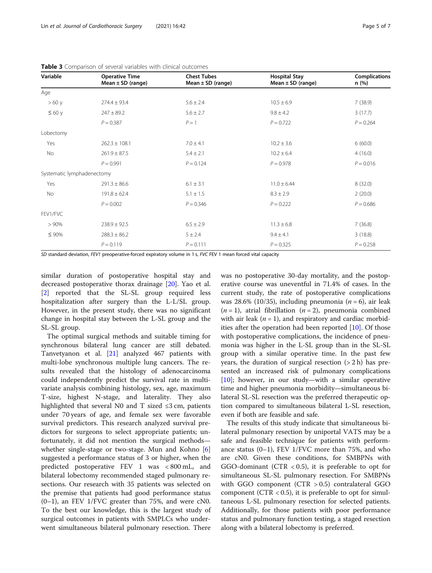| Variable                   | <b>Operative Time</b><br>Mean $\pm$ SD (range) | <b>Chest Tubes</b><br>Mean $\pm$ SD (range) | <b>Hospital Stay</b><br>Mean $\pm$ SD (range) | <b>Complications</b><br>n (%) |
|----------------------------|------------------------------------------------|---------------------------------------------|-----------------------------------------------|-------------------------------|
| Age                        |                                                |                                             |                                               |                               |
| >60y                       | $274.4 \pm 93.4$                               | $5.6 \pm 2.4$                               | $10.5 \pm 6.9$                                | 7(38.9)                       |
| $\leq 60$ y                | $247 \pm 89.2$                                 | $5.6 \pm 2.7$                               | $9.8 \pm 4.2$                                 | 3(17.7)                       |
|                            | $P = 0.387$                                    | $P=1$                                       | $P = 0.722$                                   | $P = 0.264$                   |
| Lobectomy                  |                                                |                                             |                                               |                               |
| Yes                        | $262.3 \pm 108.1$                              | $7.0 \pm 4.1$                               | $10.2 \pm 3.6$                                | 6(60.0)                       |
| No                         | $261.9 \pm 87.5$                               | $5.4 \pm 2.1$                               | $10.2 \pm 6.4$                                | 4(16.0)                       |
|                            | $P = 0.991$                                    | $P = 0.124$                                 | $P = 0.978$                                   | $P = 0.016$                   |
| Systematic lymphadenectomy |                                                |                                             |                                               |                               |
| Yes                        | $291.3 \pm 86.6$                               | $6.1 \pm 3.1$                               | $11.0 \pm 6.44$                               | 8(32.0)                       |
| No                         | $191.8 \pm 62.4$                               | $5.1 \pm 1.5$                               | $8.3 \pm 2.9$                                 | 2(20.0)                       |
|                            | $P = 0.002$                                    | $P = 0.346$                                 | $P = 0.222$                                   | $P = 0.686$                   |
| FEV1/FVC                   |                                                |                                             |                                               |                               |
| > 90%                      | $238.9 \pm 92.5$                               | $6.5 \pm 2.9$                               | $11.3 \pm 6.8$                                | 7(36.8)                       |
| $\leq 90\%$                | $288.3 \pm 86.2$                               | 5 ± 2.4                                     | $9.4 \pm 4.1$                                 | 3(18.8)                       |
|                            | $P = 0.119$                                    | $P = 0.111$                                 | $P = 0.325$                                   | $P = 0.258$                   |

<span id="page-4-0"></span>Table 3 Comparison of several variables with clinical outcomes

SD standard deviation, FEV1 preoperative-forced expiratory volume in 1 s, FVC FEV 1 mean forced vital capacity

similar duration of postoperative hospital stay and decreased postoperative thorax drainage [\[20](#page-6-0)]. Yao et al. [[2\]](#page-5-0) reported that the SL-SL group required less hospitalization after surgery than the L-L/SL group. However, in the present study, there was no significant change in hospital stay between the L-SL group and the SL-SL group.

The optimal surgical methods and suitable timing for synchronous bilateral lung cancer are still debated. Tanvetyanon et al. [\[21](#page-6-0)] analyzed 467 patients with multi-lobe synchronous multiple lung cancers. The results revealed that the histology of adenocarcinoma could independently predict the survival rate in multivariate analysis combining histology, sex, age, maximum T-size, highest N-stage, and laterality. They also highlighted that several N0 and T sized  $\leq$ 3 cm, patients under 70 years of age, and female sex were favorable survival predictors. This research analyzed survival predictors for surgeons to select appropriate patients; unfortunately, it did not mention the surgical methods whether single-stage or two-stage. Mun and Kohno [\[6](#page-5-0)] suggested a performance status of 3 or higher, when the predicted postoperative FEV 1 was < 800 mL, and bilateral lobectomy recommended staged pulmonary resections. Our research with 35 patients was selected on the premise that patients had good performance status  $(0-1)$ , an FEV 1/FVC greater than 75%, and were cN0. To the best our knowledge, this is the largest study of surgical outcomes in patients with SMPLCs who underwent simultaneous bilateral pulmonary resection. There was no postoperative 30-day mortality, and the postoperative course was uneventful in 71.4% of cases. In the current study, the rate of postoperative complications was 28.6% (10/35), including pneumonia ( $n = 6$ ), air leak  $(n = 1)$ , atrial fibrillation  $(n = 2)$ , pneumonia combined with air leak ( $n = 1$ ), and respiratory and cardiac morbidities after the operation had been reported  $[10]$ . Of those with postoperative complications, the incidence of pneumonia was higher in the L-SL group than in the SL-SL group with a similar operative time. In the past few years, the duration of surgical resection  $(2 h)$  has presented an increased risk of pulmonary complications [[10\]](#page-5-0); however, in our study—with a similar operative time and higher pneumonia morbidity—simultaneous bilateral SL-SL resection was the preferred therapeutic option compared to simultaneous bilateral L-SL resection, even if both are feasible and safe.

The results of this study indicate that simultaneous bilateral pulmonary resection by uniportal VATS may be a safe and feasible technique for patients with performance status (0–1), FEV 1/FVC more than 75%, and who are cN0. Given these conditions, for SMBPNs with GGO-dominant (CTR < 0.5), it is preferable to opt for simultaneous SL-SL pulmonary resection. For SMBPNs with GGO component (CTR > 0.5) contralateral GGO component (CTR < 0.5), it is preferable to opt for simultaneous L-SL pulmonary resection for selected patients. Additionally, for those patients with poor performance status and pulmonary function testing, a staged resection along with a bilateral lobectomy is preferred.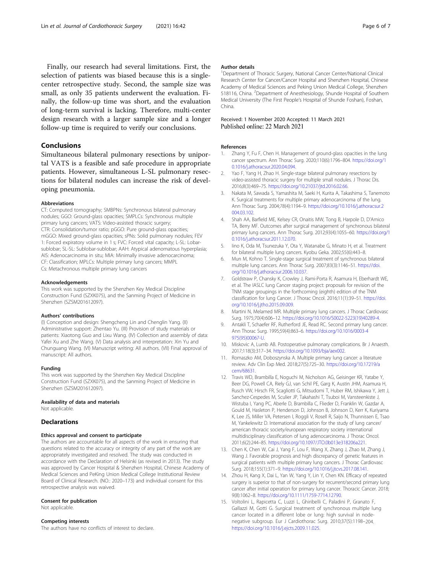<span id="page-5-0"></span>Finally, our research had several limitations. First, the selection of patients was biased because this is a singlecenter retrospective study. Second, the sample size was small, as only 35 patients underwent the evaluation. Finally, the follow-up time was short, and the evaluation of long-term survival is lacking. Therefore, multi-center design research with a larger sample size and a longer follow-up time is required to verify our conclusions.

# Conclusions

Simultaneous bilateral pulmonary resections by uniportal VATS is a feasible and safe procedure in appropriate patients. However, simultaneous L-SL pulmonary resections for bilateral nodules can increase the risk of developing pneumonia.

#### Abbreviations

CT: Computed tomography; SMBPNs: Synchronous bilateral pulmonary nodules; GGO: Ground-glass opacities; SMPLCs: Synchronous multiple primary lung cancers; VATS: Video-assisted thoracic surgery; CTR: Consolidation/tumor ratio; pGGO: Pure ground-glass opacities; mGGO: Mixed ground-glass opacities; sPNs: Solid pulmonary nodules; FEV 1: Forced expiratory volume in 1 s; FVC: Forced vital capacity; L-SL: Lobarsublobar; SL-SL: Sublobar-sublobar; AAH: Atypical adenomatous hyperplasia; AIS: Adenocarcinoma in situ; MIA: Minimally invasive adenocarcinoma; CF: Classification; MPLCs: Multiple primary lung cancers; MMPL Cs: Metachronous multiple primary lung cancers

#### Acknowledgements

This work was supported by the Shenzhen Key Medical Discipline Construction Fund (SZXK075), and the Sanming Project of Medicine in Shenzhen (SZSM201612097).

#### Authors' contributions

(I) Conception and design: Shengcheng Lin and Chenglin Yang. (II) Administrative support: Zhentao Yu. (III) Provision of study materials or patients: Xiaotong Guo and Lixu Wang. (IV) Collection and assembly of data: Yafei Xu and Zhe Wang. (V) Data analysis and interpretation: Xin Yu and Chunguang Wang. (VI) Manuscript writing: All authors. (VII) Final approval of manuscript: All authors.

#### Funding

This work was supported by the Shenzhen Key Medical Discipline Construction Fund (SZXK075), and the Sanming Project of Medicine in Shenzhen (SZSM201612097).

#### Availability of data and materials

Not applicable.

#### **Declarations**

#### Ethics approval and consent to participate

The authors are accountable for all aspects of the work in ensuring that questions related to the accuracy or integrity of any part of the work are appropriately investigated and resolved. The study was conducted in accordance with the Declaration of Helsinki (as revised in 2013). The study was approved by Cancer Hospital & Shenzhen Hospital, Chinese Academy of Medical Sciences and PeKing Union Medical College Institutional Review Board of Clinical Research. (NO.: 2020–173) and individual consent for this retrospective analysis was waived.

#### Consent for publication

Not applicable.

#### Competing interests

The authors have no conflicts of interest to declare.

#### Author details

<sup>1</sup>Department of Thoracic Surgery, National Cancer Center/National Clinical Research Center for Cancer/Cancer Hospital and Shenzhen Hospital, Chinese Academy of Medical Sciences and Peking Union Medical College, Shenzhen 518116, China. <sup>2</sup>Department of Anesthesiology, Shunde Hospital of Southern Medical University (The First People's Hospital of Shunde Foshan), Foshan, China.

# Received: 1 November 2020 Accepted: 11 March 2021

#### References

- 1. Zhang Y, Fu F, Chen H. Management of ground-glass opacities in the lung cancer spectrum. Ann Thorac Surg. 2020;110(6):1796–804. [https://doi.org/1](https://doi.org/10.1016/j.athoracsur.2020.04.094) [0.1016/j.athoracsur.2020.04.094](https://doi.org/10.1016/j.athoracsur.2020.04.094).
- 2. Yao F, Yang H, Zhao H. Single-stage bilateral pulmonary resections by video-assisted thoracic surgery for multiple small nodules. J Thorac Dis. 2016;8(3):469–75. <https://doi.org/10.21037/jtd.2016.02.66>.
- 3. Nakata M, Sawada S, Yamashita M, Saeki H, Kurita A, Takashima S, Tanemoto K. Surgical treatments for multiple primary adenocarcinoma of the lung. Ann Thorac Surg. 2004;78(4):1194–9. [https://doi.org/10.1016/j.athoracsur.2](https://doi.org/10.1016/j.athoracsur.2004.03.102) [004.03.102](https://doi.org/10.1016/j.athoracsur.2004.03.102).
- 4. Shah AA, Barfield ME, Kelsey CR, Onaitis MW, Tong B, Harpole D, D'Amico TA, Berry MF. Outcomes after surgical management of synchronous bilateral primary lung cancers. Ann Thorac Surg. 2012;93(4):1055–60. [https://doi.org/1](https://doi.org/10.1016/j.athoracsur.2011.12.070) [0.1016/j.athoracsur.2011.12.070](https://doi.org/10.1016/j.athoracsur.2011.12.070).
- 5. Iino K, Oda M, Tsunezuka Y, Ota Y, Watanabe G, Minato H, et al. Treatment for bilateral multiple lung cancers. Kyobu Geka. 2002;55(6):443–8.
- 6. Mun M, Kohno T. Single-stage surgical treatment of synchronous bilateral multiple lung cancers. Ann Thorac Surg. 2007;83(3):1146–51. [https://doi.](https://doi.org/10.1016/j.athoracsur.2006.10.037) [org/10.1016/j.athoracsur.2006.10.037.](https://doi.org/10.1016/j.athoracsur.2006.10.037)
- 7. Goldstraw P, Chansky K, Crowley J, Rami-Porta R, Asamura H, Eberhardt WE, et al. The IASLC lung Cancer staging project: proposals for revision of the TNM stage groupings in the forthcoming (eighth) edition of the TNM classification for lung Cancer. J Thorac Oncol. 2016;11(1):39–51. [https://doi.](https://doi.org/10.1016/j.jtho.2015.09.009) [org/10.1016/j.jtho.2015.09.009](https://doi.org/10.1016/j.jtho.2015.09.009).
- 8. Martini N, Melamed MR. Multiple primary lung cancers. J Thorac Cardiovasc Surg. 1975;70(4):606–12. [https://doi.org/10.1016/S0022-5223\(19\)40289-4.](https://doi.org/10.1016/S0022-5223(19)40289-4)
- Antakli T, Schaefer RF, Rutherford JE, Read RC. Second primary lung cancer. Ann Thorac Surg. 1995;59(4):863–6. [https://doi.org/10.1016/0003-4](https://doi.org/10.1016/0003-4975(95)00067-U) [975\(95\)00067-U](https://doi.org/10.1016/0003-4975(95)00067-U).
- 10. Miskovic A, Lumb AB. Postoperative pulmonary complications. Br J Anaesth. 2017;118(3):317–34. <https://doi.org/10.1093/bja/aex002>.
- 11. Romaszko AM, Doboszynska A. Multiple primary lung cancer: a literature review. Adv Clin Exp Med. 2018;27(5):725–30. [https://doi.org/10.17219/a](https://doi.org/10.17219/acem/68631) [cem/68631.](https://doi.org/10.17219/acem/68631)
- 12. Travis WD, Brambilla E, Noguchi M, Nicholson AG, Geisinger KR, Yatabe Y, Beer DG, Powell CA, Riely GJ, van Schil PE, Garg K, Austin JHM, Asamura H, Rusch VW, Hirsch FR, Scagliotti G, Mitsudomi T, Huber RM, Ishikawa Y, Jett J, Sanchez-Cespedes M, Sculier JP, Takahashi T, Tsuboi M, Vansteenkiste J, Wistuba I, Yang PC, Aberle D, Brambilla C, Flieder D, Franklin W, Gazdar A, Gould M, Hasleton P, Henderson D, Johnson B, Johnson D, Kerr K, Kuriyama K, Lee JS, Miller VA, Petersen I, Roggli V, Rosell R, Saijo N, Thunnissen E, Tsao M, Yankelewitz D. International association for the study of lung cancer/ american thoracic society/european respiratory society international multidisciplinary classification of lung adenocarcinoma. J Thorac Oncol. 2011;6(2):244–85. [https://doi.org/10.1097/JTO.0b013e318206a221.](https://doi.org/10.1097/JTO.0b013e318206a221)
- 13. Chen K, Chen W, Cai J, Yang F, Lou F, Wang X, Zhang J, Zhao M, Zhang J, Wang J. Favorable prognosis and high discrepancy of genetic features in surgical patients with multiple primary lung cancers. J Thorac Cardiovasc Surg. 2018;155(1):371–9. [https://doi.org/10.1016/j.jtcvs.2017.08.141.](https://doi.org/10.1016/j.jtcvs.2017.08.141)
- 14. Zhou H, Kang X, Dai L, Yan W, Yang Y, Lin Y, Chen KN. Efficacy of repeated surgery is superior to that of non-surgery for recurrent/second primary lung cancer after initial operation for primary lung cancer. Thoracic Cancer. 2018; 9(8):1062–8. <https://doi.org/10.1111/1759-7714.12790>.
- 15. Voltolini L, Rapicetta C, Luzzi L, Ghiribelli C, Paladini P, Granato F, Gallazzi M, Gotti G. Surgical treatment of synchronous multiple lung cancer located in a different lobe or lung: high survival in nodenegative subgroup. Eur J Cardiothorac Surg. 2010;37(5):1198–204. [https://doi.org/10.1016/j.ejcts.2009.11.025.](https://doi.org/10.1016/j.ejcts.2009.11.025)